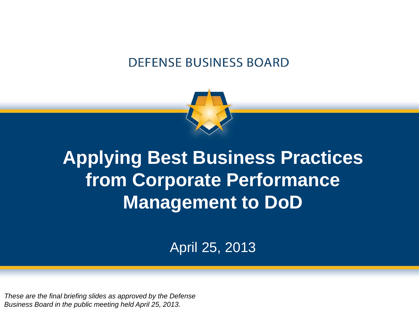#### **DEFENSE BUSINESS BOARD**



# **Applying Best Business Practices from Corporate Performance Management to DoD**

April 25, 2013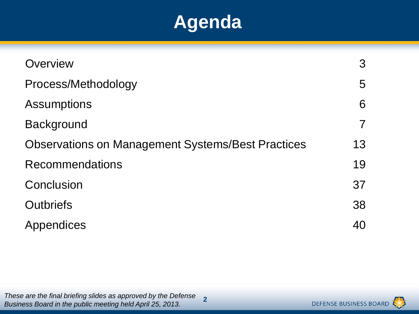### **Agenda**

| Overview                                                 | 3  |
|----------------------------------------------------------|----|
| Process/Methodology                                      | 5  |
| <b>Assumptions</b>                                       | 6  |
| <b>Background</b>                                        |    |
| <b>Observations on Management Systems/Best Practices</b> | 13 |
| <b>Recommendations</b>                                   | 19 |
| Conclusion                                               | 37 |
| <b>Outbriefs</b>                                         | 38 |
| Appendices                                               | 40 |

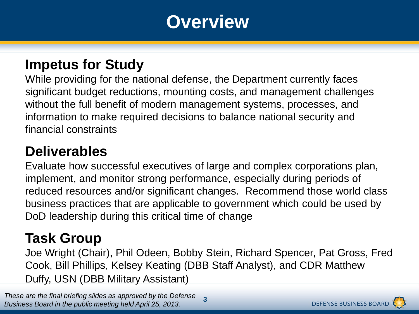### **Overview**

#### **Impetus for Study**

While providing for the national defense, the Department currently faces significant budget reductions, mounting costs, and management challenges without the full benefit of modern management systems, processes, and information to make required decisions to balance national security and financial constraints

#### **Deliverables**

Evaluate how successful executives of large and complex corporations plan, implement, and monitor strong performance, especially during periods of reduced resources and/or significant changes. Recommend those world class business practices that are applicable to government which could be used by DoD leadership during this critical time of change

#### **Task Group**

Joe Wright (Chair), Phil Odeen, Bobby Stein, Richard Spencer, Pat Gross, Fred Cook, Bill Phillips, Kelsey Keating (DBB Staff Analyst), and CDR Matthew Duffy, USN (DBB Military Assistant)

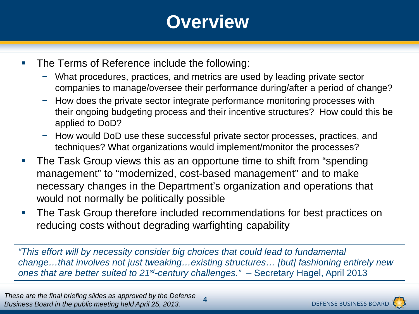# **Overview**

- The Terms of Reference include the following:
	- What procedures, practices, and metrics are used by leading private sector companies to manage/oversee their performance during/after a period of change?
	- − How does the private sector integrate performance monitoring processes with their ongoing budgeting process and their incentive structures? How could this be applied to DoD?
	- − How would DoD use these successful private sector processes, practices, and techniques? What organizations would implement/monitor the processes?
- The Task Group views this as an opportune time to shift from "spending management" to "modernized, cost-based management" and to make necessary changes in the Department's organization and operations that would not normally be politically possible
- **The Task Group therefore included recommendations for best practices on** reducing costs without degrading warfighting capability

*"This effort will by necessity consider big choices that could lead to fundamental change…that involves not just tweaking…existing structures… [but] fashioning entirely new ones that are better suited to 21st-century challenges."* – Secretary Hagel, April 2013

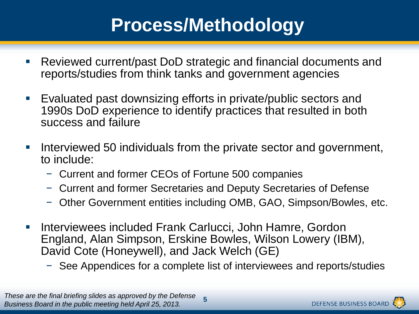# **Process/Methodology**

- Reviewed current/past DoD strategic and financial documents and reports/studies from think tanks and government agencies
- Evaluated past downsizing efforts in private/public sectors and 1990s DoD experience to identify practices that resulted in both success and failure
- Interviewed 50 individuals from the private sector and government, to include:
	- − Current and former CEOs of Fortune 500 companies
	- − Current and former Secretaries and Deputy Secretaries of Defense
	- − Other Government entities including OMB, GAO, Simpson/Bowles, etc.
- Interviewees included Frank Carlucci, John Hamre, Gordon England, Alan Simpson, Erskine Bowles, Wilson Lowery (IBM), David Cote (Honeywell), and Jack Welch (GE)
	- − See Appendices for a complete list of interviewees and reports/studies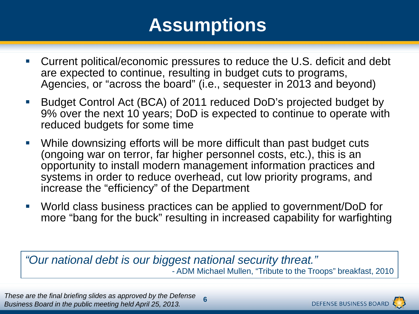# **Assumptions**

- Current political/economic pressures to reduce the U.S. deficit and debt are expected to continue, resulting in budget cuts to programs, Agencies, or "across the board" (i.e., sequester in 2013 and beyond)
- Budget Control Act (BCA) of 2011 reduced DoD's projected budget by 9% over the next 10 years; DoD is expected to continue to operate with reduced budgets for some time
- While downsizing efforts will be more difficult than past budget cuts (ongoing war on terror, far higher personnel costs, etc.), this is an opportunity to install modern management information practices and systems in order to reduce overhead, cut low priority programs, and increase the "efficiency" of the Department
- World class business practices can be applied to government/DoD for more "bang for the buck" resulting in increased capability for warfighting

*"Our national debt is our biggest national security threat."* - ADM Michael Mullen, "Tribute to the Troops" breakfast, 2010

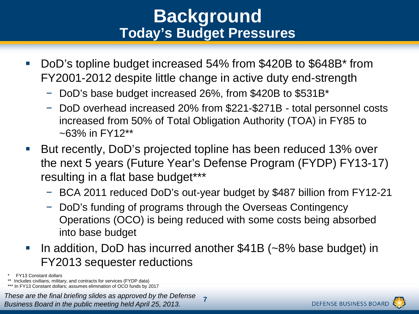### **Background Today's Budget Pressures**

- DoD's topline budget increased 54% from \$420B to \$648B\* from FY2001-2012 despite little change in active duty end-strength
	- − DoD's base budget increased 26%, from \$420B to \$531B\*
	- − DoD overhead increased 20% from \$221-\$271B total personnel costs increased from 50% of Total Obligation Authority (TOA) in FY85 to  $~5.3\%$  in FY12\*\*
- But recently, DoD's projected topline has been reduced 13% over the next 5 years (Future Year's Defense Program (FYDP) FY13-17) resulting in a flat base budget\*\*\*
	- − BCA 2011 reduced DoD's out-year budget by \$487 billion from FY12-21
	- − DoD's funding of programs through the Overseas Contingency Operations (OCO) is being reduced with some costs being absorbed into base budget
- In addition, DoD has incurred another \$41B (~8% base budget) in FY2013 sequester reductions
- **FY13 Constant dollars**

\*\* Includes civilians, military, and contracts for services (FYDP data) \*\*\* In FY13 Constant dollars; assumes elimination of OCO funds by 2017

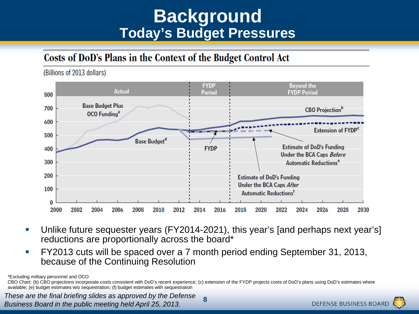### **Background Today's Budget Pressures**

#### Costs of DoD's Plans in the Context of the Budget Control Act



 Unlike future sequester years (FY2014-2021), this year's [and perhaps next year's] reductions are proportionally across the board\*

**8**

 FY2013 cuts will be spaced over a 7 month period ending September 31, 2013, because of the Continuing Resolution

\*Excluding military personnel and OCO

CBO Chart: (b) CBO projections incorporate costs consistent with DoD's recent experience; (c) extension of the FYDP projects costs of DoD's plans using DoD's estimates where available; (e) budget estimates w/o sequestration; (f) budget estimates with sequestration

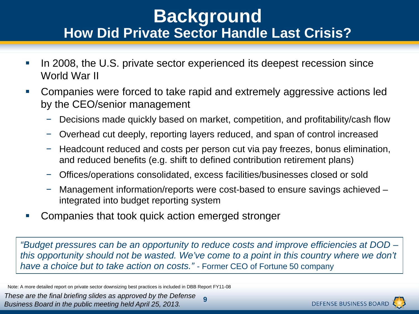### **Background How Did Private Sector Handle Last Crisis?**

- In 2008, the U.S. private sector experienced its deepest recession since World War II
- Companies were forced to take rapid and extremely aggressive actions led by the CEO/senior management
	- − Decisions made quickly based on market, competition, and profitability/cash flow
	- − Overhead cut deeply, reporting layers reduced, and span of control increased
	- − Headcount reduced and costs per person cut via pay freezes, bonus elimination, and reduced benefits (e.g. shift to defined contribution retirement plans)
	- − Offices/operations consolidated, excess facilities/businesses closed or sold
	- − Management information/reports were cost-based to ensure savings achieved integrated into budget reporting system
- Companies that took quick action emerged stronger

*"Budget pressures can be an opportunity to reduce costs and improve efficiencies at DOD – this opportunity should not be wasted. We've come to a point in this country where we don't have a choice but to take action on costs."* - Former CEO of Fortune 50 company

Note: A more detailed report on private sector downsizing best practices is included in DBB Report FY11-08

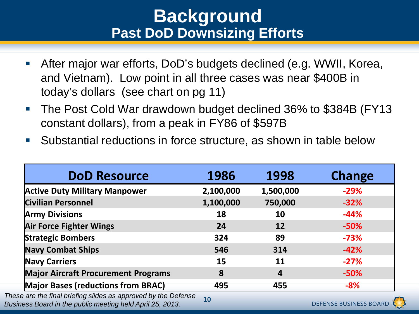### **Background Past DoD Downsizing Efforts**

- After major war efforts, DoD's budgets declined (e.g. WWII, Korea, and Vietnam). Low point in all three cases was near \$400B in today's dollars (see chart on pg 11)
- The Post Cold War drawdown budget declined 36% to \$384B (FY13 constant dollars), from a peak in FY86 of \$597B
- Substantial reductions in force structure, as shown in table below

| <b>DoD Resource</b>                                                                                                         | 1986      | 1998             | <b>Change</b>                 |
|-----------------------------------------------------------------------------------------------------------------------------|-----------|------------------|-------------------------------|
| <b>Active Duty Military Manpower</b>                                                                                        | 2,100,000 | 1,500,000        | $-29%$                        |
| <b>Civilian Personnel</b>                                                                                                   | 1,100,000 | 750,000          | $-32%$                        |
| <b>Army Divisions</b>                                                                                                       | 18        | 10               | $-44%$                        |
| <b>Air Force Fighter Wings</b>                                                                                              | 24        | <b>12</b>        | $-50%$                        |
| <b>Strategic Bombers</b>                                                                                                    | 324       | 89               | $-73%$                        |
| <b>Navy Combat Ships</b>                                                                                                    | 546       | 314              | $-42%$                        |
| <b>Navy Carriers</b>                                                                                                        | 15        | 11               | $-27%$                        |
| <b>Major Aircraft Procurement Programs</b>                                                                                  | 8         | $\boldsymbol{4}$ | $-50%$                        |
| <b>Major Bases (reductions from BRAC)</b>                                                                                   | 495       | 455              | $-8%$                         |
| These are the final briefing slides as approved by the Defense<br>Business Board in the public meeting held April 25, 2013. | 10        |                  | <b>DEFENSE BUSINESS BOARD</b> |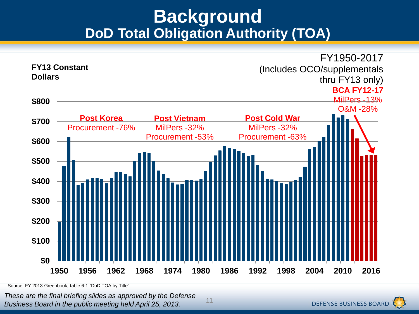### **Background DoD Total Obligation Authority (TOA)**



11

Source: FY 2013 Greenbook, table 6-1 "DoD TOA by Title"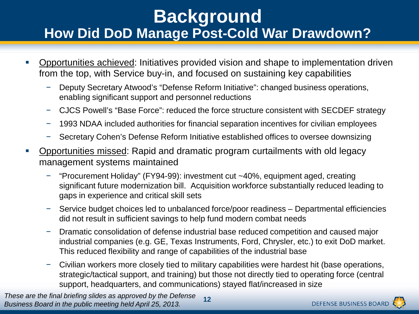### **Background How Did DoD Manage Post-Cold War Drawdown?**

- Opportunities achieved: Initiatives provided vision and shape to implementation driven from the top, with Service buy-in, and focused on sustaining key capabilities
	- − Deputy Secretary Atwood's "Defense Reform Initiative": changed business operations, enabling significant support and personnel reductions
	- − CJCS Powell's "Base Force": reduced the force structure consistent with SECDEF strategy
	- − 1993 NDAA included authorities for financial separation incentives for civilian employees
	- − Secretary Cohen's Defense Reform Initiative established offices to oversee downsizing
- Opportunities missed: Rapid and dramatic program curtailments with old legacy management systems maintained
	- − "Procurement Holiday" (FY94-99): investment cut ~40%, equipment aged, creating significant future modernization bill. Acquisition workforce substantially reduced leading to gaps in experience and critical skill sets
	- − Service budget choices led to unbalanced force/poor readiness Departmental efficiencies did not result in sufficient savings to help fund modern combat needs
	- − Dramatic consolidation of defense industrial base reduced competition and caused major industrial companies (e.g. GE, Texas Instruments, Ford, Chrysler, etc.) to exit DoD market. This reduced flexibility and range of capabilities of the industrial base
	- − Civilian workers more closely tied to military capabilities were hardest hit (base operations, strategic/tactical support, and training) but those not directly tied to operating force (central support, headquarters, and communications) stayed flat/increased in size

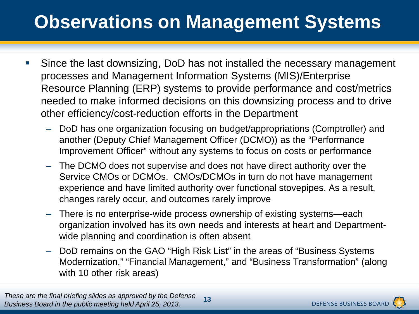# **Observations on Management Systems**

- Since the last downsizing, DoD has not installed the necessary management processes and Management Information Systems (MIS)/Enterprise Resource Planning (ERP) systems to provide performance and cost/metrics needed to make informed decisions on this downsizing process and to drive other efficiency/cost-reduction efforts in the Department
	- DoD has one organization focusing on budget/appropriations (Comptroller) and another (Deputy Chief Management Officer (DCMO)) as the "Performance Improvement Officer" without any systems to focus on costs or performance
	- The DCMO does not supervise and does not have direct authority over the Service CMOs or DCMOs. CMOs/DCMOs in turn do not have management experience and have limited authority over functional stovepipes. As a result, changes rarely occur, and outcomes rarely improve
	- There is no enterprise-wide process ownership of existing systems—each organization involved has its own needs and interests at heart and Departmentwide planning and coordination is often absent
	- DoD remains on the GAO "High Risk List" in the areas of "Business Systems Modernization," "Financial Management," and "Business Transformation" (along with 10 other risk areas)

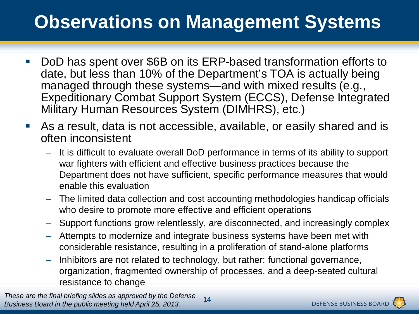# **Observations on Management Systems**

- DoD has spent over \$6B on its ERP-based transformation efforts to date, but less than 10% of the Department's TOA is actually being managed through these systems—and with mixed results (e.g., Expeditionary Combat Support System (ECCS), Defense Integrated Military Human Resources System (DIMHRS), etc.)
- As a result, data is not accessible, available, or easily shared and is often inconsistent
	- It is difficult to evaluate overall DoD performance in terms of its ability to support war fighters with efficient and effective business practices because the Department does not have sufficient, specific performance measures that would enable this evaluation
	- The limited data collection and cost accounting methodologies handicap officials who desire to promote more effective and efficient operations
	- Support functions grow relentlessly, are disconnected, and increasingly complex
	- Attempts to modernize and integrate business systems have been met with considerable resistance, resulting in a proliferation of stand-alone platforms
	- Inhibitors are not related to technology, but rather: functional governance, organization, fragmented ownership of processes, and a deep-seated cultural resistance to change

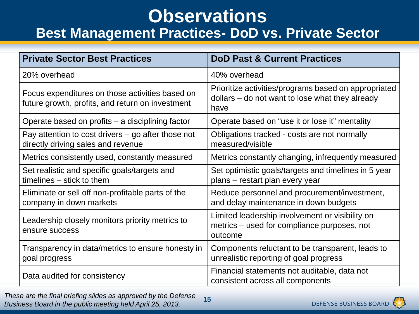### **Observations**

#### **Best Management Practices- DoD vs. Private Sector**

| <b>Private Sector Best Practices</b>                                                                | <b>DoD Past &amp; Current Practices</b>                                                                         |
|-----------------------------------------------------------------------------------------------------|-----------------------------------------------------------------------------------------------------------------|
| 20% overhead                                                                                        | 40% overhead                                                                                                    |
| Focus expenditures on those activities based on<br>future growth, profits, and return on investment | Prioritize activities/programs based on appropriated<br>dollars – do not want to lose what they already<br>have |
| Operate based on profits $-$ a disciplining factor                                                  | Operate based on "use it or lose it" mentality                                                                  |
| Pay attention to cost drivers – go after those not<br>directly driving sales and revenue            | Obligations tracked - costs are not normally<br>measured/visible                                                |
| Metrics consistently used, constantly measured                                                      | Metrics constantly changing, infrequently measured                                                              |
| Set realistic and specific goals/targets and<br>timelines – stick to them                           | Set optimistic goals/targets and timelines in 5 year<br>plans – restart plan every year                         |
| Eliminate or sell off non-profitable parts of the<br>company in down markets                        | Reduce personnel and procurement/investment,<br>and delay maintenance in down budgets                           |
| Leadership closely monitors priority metrics to<br>ensure success                                   | Limited leadership involvement or visibility on<br>metrics – used for compliance purposes, not<br>outcome       |
| Transparency in data/metrics to ensure honesty in<br>goal progress                                  | Components reluctant to be transparent, leads to<br>unrealistic reporting of goal progress                      |
| Data audited for consistency                                                                        | Financial statements not auditable, data not<br>consistent across all components                                |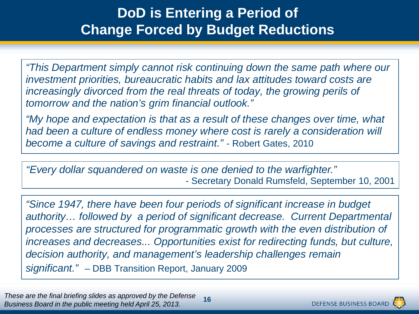#### **DoD is Entering a Period of Change Forced by Budget Reductions**

*"This Department simply cannot risk continuing down the same path where our investment priorities, bureaucratic habits and lax attitudes toward costs are increasingly divorced from the real threats of today, the growing perils of tomorrow and the nation's grim financial outlook."*

*"My hope and expectation is that as a result of these changes over time, what had been a culture of endless money where cost is rarely a consideration will become a culture of savings and restraint."* - Robert Gates, 2010

*"Every dollar squandered on waste is one denied to the warfighter."* - Secretary Donald Rumsfeld, September 10, 2001

*"Since 1947, there have been four periods of significant increase in budget authority… followed by a period of significant decrease. Current Departmental processes are structured for programmatic growth with the even distribution of increases and decreases... Opportunities exist for redirecting funds, but culture, decision authority, and management's leadership challenges remain significant." –* DBB Transition Report, January 2009

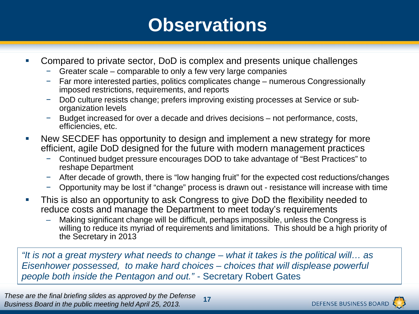### **Observations**

- Compared to private sector, DoD is complex and presents unique challenges
	- − Greater scale comparable to only a few very large companies
	- − Far more interested parties, politics complicates change numerous Congressionally imposed restrictions, requirements, and reports
	- − DoD culture resists change; prefers improving existing processes at Service or suborganization levels
	- − Budget increased for over a decade and drives decisions not performance, costs, efficiencies, etc.
- New SECDEF has opportunity to design and implement a new strategy for more efficient, agile DoD designed for the future with modern management practices
	- − Continued budget pressure encourages DOD to take advantage of "Best Practices" to reshape Department
	- − After decade of growth, there is "low hanging fruit" for the expected cost reductions/changes
	- − Opportunity may be lost if "change" process is drawn out resistance will increase with time
- **This is also an opportunity to ask Congress to give DoD the flexibility needed to** reduce costs and manage the Department to meet today's requirements
	- Making significant change will be difficult, perhaps impossible, unless the Congress is willing to reduce its myriad of requirements and limitations. This should be a high priority of the Secretary in 2013

*"It is not a great mystery what needs to change – what it takes is the political will… as Eisenhower possessed, to make hard choices – choices that will displease powerful people both inside the Pentagon and out."* - Secretary Robert Gates

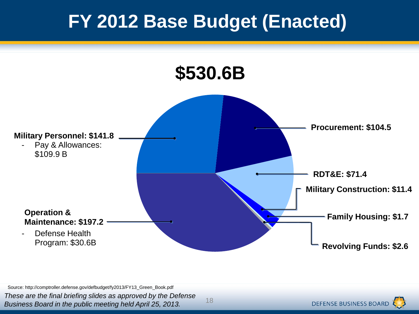# **FY 2012 Base Budget (Enacted)**

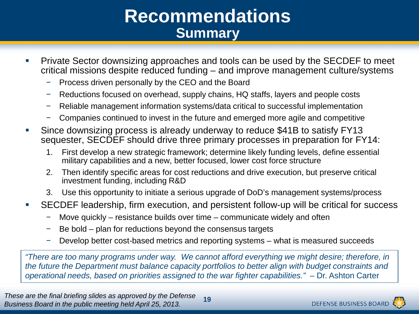### **Recommendations Summary**

- **Private Sector downsizing approaches and tools can be used by the SECDEF to meet** critical missions despite reduced funding – and improve management culture/systems
	- Process driven personally by the CEO and the Board
	- − Reductions focused on overhead, supply chains, HQ staffs, layers and people costs
	- − Reliable management information systems/data critical to successful implementation
	- − Companies continued to invest in the future and emerged more agile and competitive
- Since downsizing process is already underway to reduce \$41B to satisfy FY13 sequester, SECDEF should drive three primary processes in preparation for FY14:
	- 1. First develop a new strategic framework; determine likely funding levels, define essential military capabilities and a new, better focused, lower cost force structure
	- 2. Then identify specific areas for cost reductions and drive execution, but preserve critical investment funding, including R&D
	- 3. Use this opportunity to initiate a serious upgrade of DoD's management systems/process
- SECDEF leadership, firm execution, and persistent follow-up will be critical for success
	- − Move quickly resistance builds over time communicate widely and often
	- − Be bold plan for reductions beyond the consensus targets
	- − Develop better cost-based metrics and reporting systems what is measured succeeds

*"There are too many programs under way. We cannot afford everything we might desire; therefore, in the future the Department must balance capacity portfolios to better align with budget constraints and operational needs, based on priorities assigned to the war fighter capabilities."* – Dr. Ashton Carter

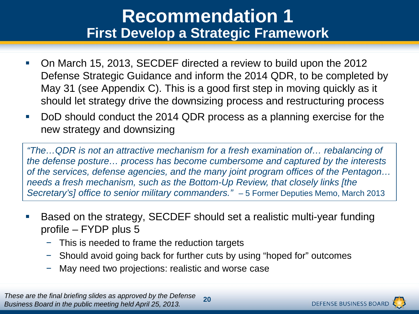### **Recommendation 1 First Develop a Strategic Framework**

- On March 15, 2013, SECDEF directed a review to build upon the 2012 Defense Strategic Guidance and inform the 2014 QDR, to be completed by May 31 (see Appendix C). This is a good first step in moving quickly as it should let strategy drive the downsizing process and restructuring process
- DoD should conduct the 2014 QDR process as a planning exercise for the new strategy and downsizing

*"The…QDR is not an attractive mechanism for a fresh examination of… rebalancing of the defense posture… process has become cumbersome and captured by the interests of the services, defense agencies, and the many joint program offices of the Pentagon… needs a fresh mechanism, such as the Bottom-Up Review, that closely links [the Secretary's] office to senior military commanders."* – 5 Former Deputies Memo, March 2013

- Based on the strategy, SECDEF should set a realistic multi-year funding profile – FYDP plus 5
	- − This is needed to frame the reduction targets
	- − Should avoid going back for further cuts by using "hoped for" outcomes
	- May need two projections: realistic and worse case

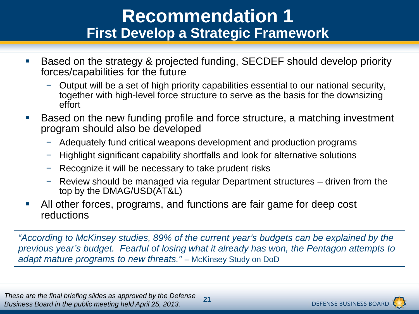### **Recommendation 1 First Develop a Strategic Framework**

- Based on the strategy & projected funding, SECDEF should develop priority forces/capabilities for the future
	- − Output will be a set of high priority capabilities essential to our national security, together with high-level force structure to serve as the basis for the downsizing effort
- Based on the new funding profile and force structure, a matching investment program should also be developed
	- − Adequately fund critical weapons development and production programs
	- − Highlight significant capability shortfalls and look for alternative solutions
	- − Recognize it will be necessary to take prudent risks
	- − Review should be managed via regular Department structures driven from the top by the DMAG/USD(AT&L)
- All other forces, programs, and functions are fair game for deep cost reductions

*"According to McKinsey studies, 89% of the current year's budgets can be explained by the previous year's budget. Fearful of losing what it already has won, the Pentagon attempts to adapt mature programs to new threats."* – McKinsey Study on DoD

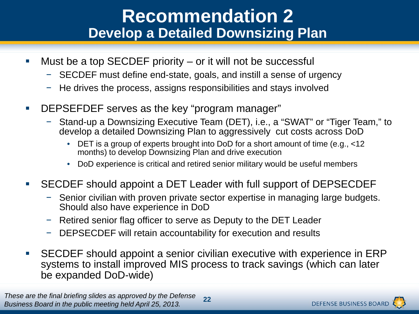### **Recommendation 2 Develop a Detailed Downsizing Plan**

- Must be a top SECDEF priority or it will not be successful
	- − SECDEF must define end-state, goals, and instill a sense of urgency
	- − He drives the process, assigns responsibilities and stays involved
- DEPSEFDEF serves as the key "program manager"
	- − Stand-up a Downsizing Executive Team (DET), i.e., a "SWAT" or "Tiger Team," to develop a detailed Downsizing Plan to aggressively cut costs across DoD
		- DET is a group of experts brought into DoD for a short amount of time (e.g., <12 months) to develop Downsizing Plan and drive execution
		- DoD experience is critical and retired senior military would be useful members
- SECDEF should appoint a DET Leader with full support of DEPSECDEF
	- − Senior civilian with proven private sector expertise in managing large budgets. Should also have experience in DoD
	- − Retired senior flag officer to serve as Deputy to the DET Leader
	- − DEPSECDEF will retain accountability for execution and results
- SECDEF should appoint a senior civilian executive with experience in ERP systems to install improved MIS process to track savings (which can later be expanded DoD-wide)

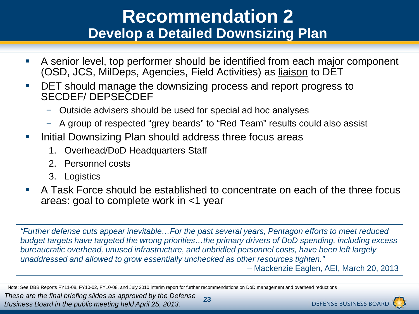#### **Recommendation 2 Develop a Detailed Downsizing Plan**

- A senior level, top performer should be identified from each major component (OSD, JCS, MilDeps, Agencies, Field Activities) as liaison to DET
- **DET** should manage the downsizing process and report progress to SECDEF/ DEPSECDEF
	- − Outside advisers should be used for special ad hoc analyses
	- − A group of respected "grey beards" to "Red Team" results could also assist
- **Initial Downsizing Plan should address three focus areas** 
	- 1. Overhead/DoD Headquarters Staff
	- 2. Personnel costs
	- 3. Logistics
- A Task Force should be established to concentrate on each of the three focus areas: goal to complete work in <1 year

*"Further defense cuts appear inevitable…For the past several years, Pentagon efforts to meet reduced budget targets have targeted the wrong priorities…the primary drivers of DoD spending, including excess bureaucratic overhead, unused infrastructure, and unbridled personnel costs, have been left largely unaddressed and allowed to grow essentially unchecked as other resources tighten."*  – Mackenzie Eaglen, AEI, March 20, 2013

Note: See DBB Reports FY11-08, FY10-02, FY10-08, and July 2010 interim report for further recommendations on DoD management and overhead reductions

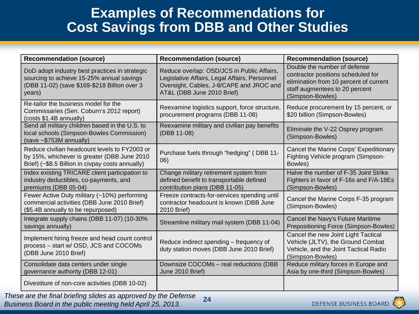#### **Examples of Recommendations for Cost Savings from DBB and Other Studies**

| <b>Recommendation (source)</b>                                                                                                                        | <b>Recommendation (source)</b>                                                                                                                                        | <b>Recommendation (source)</b>                                                                                                                                     |
|-------------------------------------------------------------------------------------------------------------------------------------------------------|-----------------------------------------------------------------------------------------------------------------------------------------------------------------------|--------------------------------------------------------------------------------------------------------------------------------------------------------------------|
| DoD adopt industry best practices in strategic<br>sourcing to achieve 15-25% annual savings<br>(DBB 11-02) (save \$169-\$218 Billion over 3<br>years) | Reduce overlap: OSD/JCS in Public Affairs,<br>Legislative Affairs, Legal Affairs, Personnel<br>Oversight, Cables, J-8/CAPE and JROC and<br>AT&L (DBB June 2010 Brief) | Double the number of defense<br>contractor positions scheduled for<br>elimination from 10 percent of current<br>staff augmentees to 20 percent<br>(Simpson-Bowles) |
| Re-tailor the business model for the<br>Commissaries (Sen. Coburn's 2012 report)<br>(costs \$1.4B annually)                                           | Reexamine logistics support, force structure,<br>procurement programs (DBB 11-08)                                                                                     | Reduce procurement by 15 percent, or<br>\$20 billion (Simpson-Bowles)                                                                                              |
| Send all military children based in the U.S. to<br>local schools (Simpson-Bowles Commission)<br>$(save - $753M annually)$                             | Reexamine military and civilian pay benefits<br>(DBB 11-08)                                                                                                           | Eliminate the V-22 Osprey program<br>(Simpson-Bowles)                                                                                                              |
| Reduce civilian headcount levels to FY2003 or<br>by 15%, whichever is greater (DBB June 2010<br>Brief) (~\$8.5 Billion in civpay costs annually)      | Purchase fuels through "hedging" (DBB 11-<br>06)                                                                                                                      | Cancel the Marine Corps' Expeditionary<br>Fighting Vehicle program (Simpson-<br>Bowles)                                                                            |
| Index existing TRICARE client participation to<br>industry deductibles, co-payments, and<br>premiums (DBB 05-04)                                      | Change military retirement system from<br>defined benefit to transportable defined<br>contribution plans (DBB 11-05)                                                  | Halve the number of F-35 Joint Strike<br>Fighters in favor of F-16s and F/A-18Es<br>(Simpson-Bowles)                                                               |
| Fewer Active Duty military (~10%) performing<br>commercial activities (DBB June 2010 Brief)<br>(\$5.4B annually to be repurposed)                     | Freeze contracts-for-services spending until<br>contractor headcount is known (DBB June<br>2010 Brief)                                                                | Cancel the Marine Corps F-35 program<br>(Simpson-Bowles)                                                                                                           |
| Integrate supply chains (DBB 11-07) (10-30%<br>savings annually)                                                                                      | Streamline military mail system (DBB 11-04)                                                                                                                           | Cancel the Navy's Future Maritime<br>Prepositioning Force (Simpson-Bowles)                                                                                         |
| Implement hiring freeze and head count control<br>process - start w/ OSD, JCS and COCOMs<br>(DBB June 2010 Brief)                                     | Reduce indirect spending - frequency of<br>duty station moves (DBB June 2010 Brief)                                                                                   | Cancel the new Joint Light Tactical<br>Vehicle (JLTV), the Ground Combat<br>Vehicle, and the Joint Tactical Radio<br>(Simpson-Bowles)                              |
| Consolidate data centers under single<br>governance authority (DBB 12-01)                                                                             | Downsize COCOMs - real reductions (DBB<br>June 2010 Brief)                                                                                                            | Reduce military forces in Europe and<br>Asia by one-third (Simpson-Bowles)                                                                                         |
| Divestiture of non-core activities (DBB 10-02)                                                                                                        |                                                                                                                                                                       |                                                                                                                                                                    |

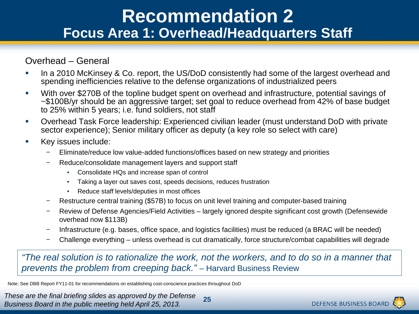#### **Recommendation 2 Focus Area 1: Overhead/Headquarters Staff**

#### Overhead – General

- In a 2010 McKinsey & Co. report, the US/DoD consistently had some of the largest overhead and spending inefficiencies relative to the defense organizations of industrialized peers
- With over \$270B of the topline budget spent on overhead and infrastructure, potential savings of ~\$100B/yr should be an aggressive target; set goal to reduce overhead from 42% of base budget to 25% within 5 years; i.e. fund soldiers, not staff
- Overhead Task Force leadership: Experienced civilian leader (must understand DoD with private sector experience); Senior military officer as deputy (a key role so select with care)
- **Key issues include:** 
	- − Eliminate/reduce low value-added functions/offices based on new strategy and priorities
	- − Reduce/consolidate management layers and support staff
		- Consolidate HQs and increase span of control
		- Taking a layer out saves cost, speeds decisions, reduces frustration
		- Reduce staff levels/deputies in most offices
	- − Restructure central training (\$57B) to focus on unit level training and computer-based training
	- − Review of Defense Agencies/Field Activities largely ignored despite significant cost growth (Defensewide overhead now \$113B)
	- − Infrastructure (e.g. bases, office space, and logistics facilities) must be reduced (a BRAC will be needed)
	- − Challenge everything unless overhead is cut dramatically, force structure/combat capabilities will degrade

*"The real solution is to rationalize the work, not the workers, and to do so in a manner that prevents the problem from creeping back." –* Harvard Business Review

Note: See DBB Report FY11-01 for recommendations on establishing cost-conscience practices throughout DoD

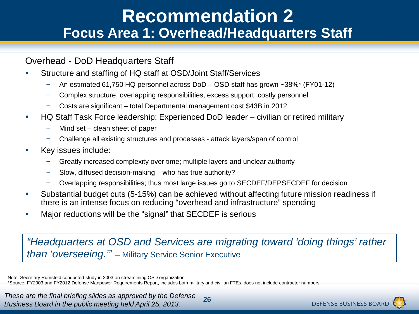#### **Recommendation 2 Focus Area 1: Overhead/Headquarters Staff**

#### Overhead - DoD Headquarters Staff

- Structure and staffing of HQ staff at OSD/Joint Staff/Services
	- − An estimated 61,750 HQ personnel across DoD OSD staff has grown ~38%\* (FY01-12)
	- − Complex structure, overlapping responsibilities, excess support, costly personnel
	- − Costs are significant total Departmental management cost \$43B in 2012
- HQ Staff Task Force leadership: Experienced DoD leader civilian or retired military
	- − Mind set clean sheet of paper
	- − Challenge all existing structures and processes attack layers/span of control
- **Key issues include:** 
	- − Greatly increased complexity over time; multiple layers and unclear authority
	- − Slow, diffused decision-making who has true authority?
	- − Overlapping responsibilities; thus most large issues go to SECDEF/DEPSECDEF for decision
- Substantial budget cuts (5-15%) can be achieved without affecting future mission readiness if there is an intense focus on reducing "overhead and infrastructure" spending
- Major reductions will be the "signal" that SECDEF is serious

*"Headquarters at OSD and Services are migrating toward 'doing things' rather than 'overseeing.'"* – Military Service Senior Executive

Note: Secretary Rumsfeld conducted study in 2003 on streamlining OSD organization \*Source: FY2003 and FY2012 Defense Manpower Requirements Report, includes both military and civilian FTEs, does not include contractor numbers

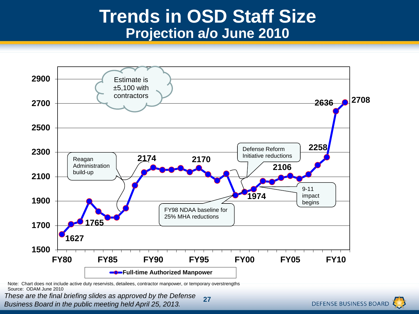### **Trends in OSD Staff Size Projection a/o June 2010**



Note: Chart does not include active duty reservists, detailees, contractor manpower, or temporary overstrengths Source: ODAM June 2010

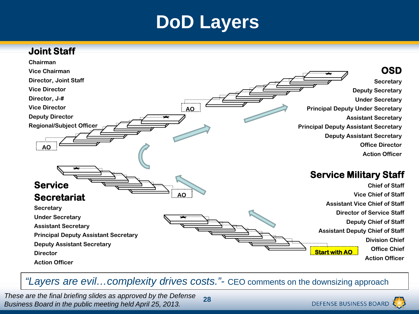### **DoD Layers**



*"Layers are evil…complexity drives costs."-* CEO comments on the downsizing approach

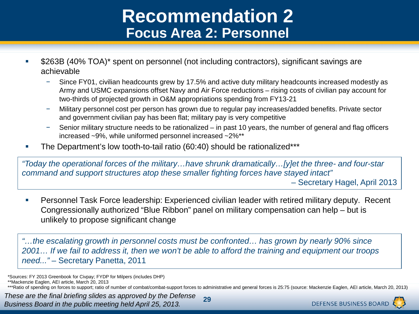### **Recommendation 2 Focus Area 2: Personnel**

- **5263B (40% TOA)\* spent on personnel (not including contractors), significant savings are** achievable
	- Since FY01, civilian headcounts grew by 17.5% and active duty military headcounts increased modestly as Army and USMC expansions offset Navy and Air Force reductions – rising costs of civilian pay account for two-thirds of projected growth in O&M appropriations spending from FY13-21
	- − Military personnel cost per person has grown due to regular pay increases/added benefits. Private sector and government civilian pay has been flat; military pay is very competitive
	- − Senior military structure needs to be rationalized in past 10 years, the number of general and flag officers increased ~9%, while uniformed personnel increased ~2%\*\*
- The Department's low tooth-to-tail ratio (60:40) should be rationalized\*\*\*

*"Today the operational forces of the military…have shrunk dramatically…[y]et the three- and four-star command and support structures atop these smaller fighting forces have stayed intact"* 

– Secretary Hagel, April 2013

**Personnel Task Force leadership: Experienced civilian leader with retired military deputy. Recent** Congressionally authorized "Blue Ribbon" panel on military compensation can help – but is unlikely to propose significant change

*"…the escalating growth in personnel costs must be confronted… has grown by nearly 90% since 2001… If we fail to address it, then we won't be able to afford the training and equipment our troops need..."* – Secretary Panetta, 2011

\*Sources: FY 2013 Greenbook for Civpay; FYDP for Milpers (includes DHP)

\*\*Mackenzie Eaglen, AEI article, March 20, 2013



**<sup>29</sup>** \*\*\*Ratio of spending on forces to support; ratio of number of combat/combat-support forces to administrative and general forces is 25:75 (source: Mackenzie Eaglen, AEI article, March 20, 2013)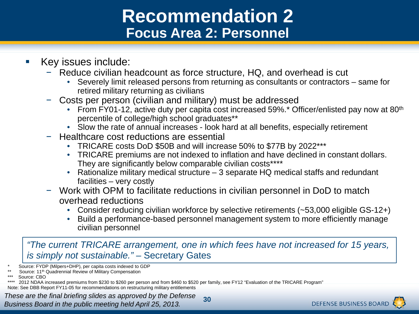### **Recommendation 2 Focus Area 2: Personnel**

- Key issues include:
	- Reduce civilian headcount as force structure, HQ, and overhead is cut
		- Severely limit released persons from returning as consultants or contractors same for retired military returning as civilians
	- − Costs per person (civilian and military) must be addressed
		- From FY01-12, active duty per capita cost increased 59%.\* Officer/enlisted pay now at 80th percentile of college/high school graduates\*\*
		- Slow the rate of annual increases look hard at all benefits, especially retirement
	- − Healthcare cost reductions are essential
		- TRICARE costs DoD \$50B and will increase 50% to \$77B by 2022\*\*\*
		- TRICARE premiums are not indexed to inflation and have declined in constant dollars. They are significantly below comparable civilian costs\*\*\*\*
		- Rationalize military medical structure  $-3$  separate HQ medical staffs and redundant facilities – very costly
	- − Work with OPM to facilitate reductions in civilian personnel in DoD to match overhead reductions • Consider reducing civilian workforce by selective retirements (~53,000 eligible GS-12+)
		-
		- Build a performance-based personnel management system to more efficiently manage civilian personnel

*"The current TRICARE arrangement, one in which fees have not increased for 15 years, is simply not sustainable." –* Secretary Gates

Source: FYDP (Milpers+DHP), per capita costs indexed to GDP

- Source: 11<sup>th</sup> Quadrennial Review of Military Compensation
- Source: CBO

Note: See DBB Report FY11-05 for recommendations on restructuring military entitlements



<sup>2012</sup> NDAA increased premiums from \$230 to \$260 per person and from \$460 to \$520 per family, see FY12 "Evaluation of the TRICARE Program"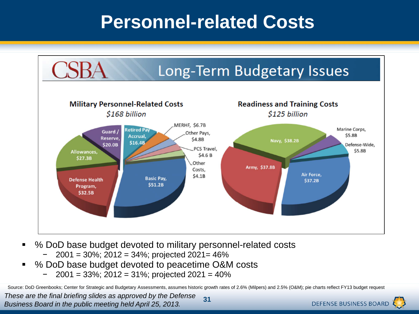### **Personnel-related Costs**



- % DoD base budget devoted to military personnel-related costs
	- − 2001 = 30%; 2012 = 34%; projected 2021= 46%
- % DoD base budget devoted to peacetime O&M costs
	- − 2001 = 33%; 2012 = 31%; projected 2021 = 40%

Source: DoD Greenbooks; Center for Strategic and Budgetary Assessments, assumes historic growth rates of 2.6% (Milpers) and 2.5% (O&M); pie charts reflect FY13 budget request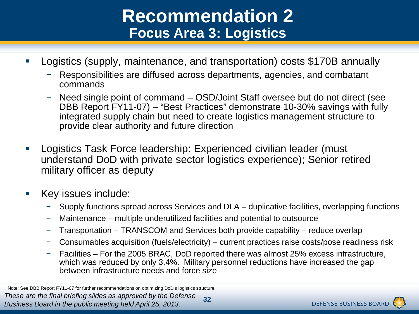### **Recommendation 2 Focus Area 3: Logistics**

- Logistics (supply, maintenance, and transportation) costs \$170B annually
	- − Responsibilities are diffused across departments, agencies, and combatant commands
	- − Need single point of command OSD/Joint Staff oversee but do not direct (see DBB Report FY11-07) – "Best Practices" demonstrate 10-30% savings with fully integrated supply chain but need to create logistics management structure to provide clear authority and future direction
- Logistics Task Force leadership: Experienced civilian leader (must understand DoD with private sector logistics experience); Senior retired military officer as deputy
- Key issues include:
	- Supply functions spread across Services and DLA duplicative facilities, overlapping functions
	- − Maintenance multiple underutilized facilities and potential to outsource
	- − Transportation TRANSCOM and Services both provide capability reduce overlap
	- − Consumables acquisition (fuels/electricity) current practices raise costs/pose readiness risk
	- − Facilities For the 2005 BRAC, DoD reported there was almost 25% excess infrastructure, which was reduced by only 3.4%. Military personnel reductions have increased the gap between infrastructure needs and force size

*These are the final briefing slides as approved by the Defense Business Board in the public meeting held April 25, 2013.* **32** Note: See DBB Report FY11-07 for further recommendations on optimizing DoD's logistics structure

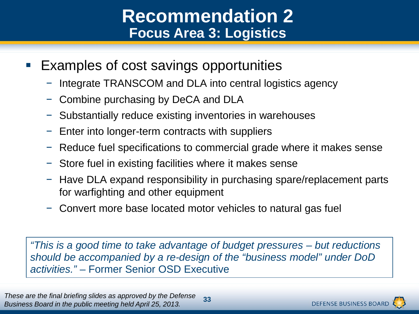### **Recommendation 2 Focus Area 3: Logistics**

- **Examples of cost savings opportunities** 
	- − Integrate TRANSCOM and DLA into central logistics agency
	- − Combine purchasing by DeCA and DLA
	- − Substantially reduce existing inventories in warehouses
	- − Enter into longer-term contracts with suppliers
	- Freduce fuel specifications to commercial grade where it makes sense
	- − Store fuel in existing facilities where it makes sense
	- − Have DLA expand responsibility in purchasing spare/replacement parts for warfighting and other equipment
	- − Convert more base located motor vehicles to natural gas fuel

*"This is a good time to take advantage of budget pressures – but reductions should be accompanied by a re-design of the "business model" under DoD activities."* – Former Senior OSD Executive

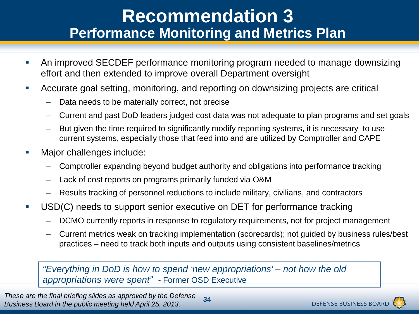#### **Recommendation 3 Performance Monitoring and Metrics Plan**

- An improved SECDEF performance monitoring program needed to manage downsizing effort and then extended to improve overall Department oversight
- Accurate goal setting, monitoring, and reporting on downsizing projects are critical
	- Data needs to be materially correct, not precise
	- Current and past DoD leaders judged cost data was not adequate to plan programs and set goals
	- But given the time required to significantly modify reporting systems, it is necessary to use current systems, especially those that feed into and are utilized by Comptroller and CAPE
- Major challenges include:
	- Comptroller expanding beyond budget authority and obligations into performance tracking
	- Lack of cost reports on programs primarily funded via O&M
	- Results tracking of personnel reductions to include military, civilians, and contractors
- USD(C) needs to support senior executive on DET for performance tracking
	- DCMO currently reports in response to regulatory requirements, not for project management
	- Current metrics weak on tracking implementation (scorecards); not guided by business rules/best practices – need to track both inputs and outputs using consistent baselines/metrics

*"Everything in DoD is how to spend 'new appropriations' – not how the old appropriations were spent" -* Former OSD Executive

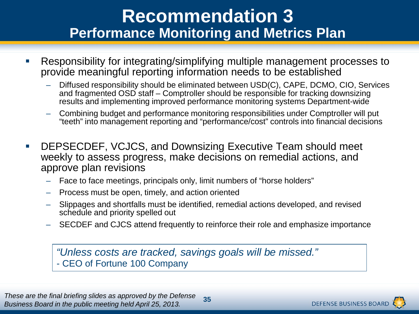### **Recommendation 3 Performance Monitoring and Metrics Plan**

- Responsibility for integrating/simplifying multiple management processes to provide meaningful reporting information needs to be established
	- Diffused responsibility should be eliminated between USD(C), CAPE, DCMO, CIO, Services and fragmented OSD staff – Comptroller should be responsible for tracking downsizing results and implementing improved performance monitoring systems Department-wide
	- Combining budget and performance monitoring responsibilities under Comptroller will put "teeth" into management reporting and "performance/cost" controls into financial decisions
- DEPSECDEF, VCJCS, and Downsizing Executive Team should meet weekly to assess progress, make decisions on remedial actions, and approve plan revisions
	- Face to face meetings, principals only, limit numbers of "horse holders"
	- Process must be open, timely, and action oriented
	- Slippages and shortfalls must be identified, remedial actions developed, and revised schedule and priority spelled out
	- SECDEF and CJCS attend frequently to reinforce their role and emphasize importance

*"Unless costs are tracked, savings goals will be missed."* - CEO of Fortune 100 Company

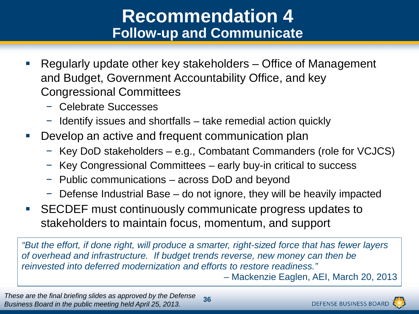### **Recommendation 4 Follow-up and Communicate**

- Regularly update other key stakeholders Office of Management and Budget, Government Accountability Office, and key Congressional Committees
	- − Celebrate Successes
	- − Identify issues and shortfalls take remedial action quickly
- **Develop an active and frequent communication plan** 
	- − Key DoD stakeholders e.g., Combatant Commanders (role for VCJCS)
	- Key Congressional Committees early buy-in critical to success
	- − Public communications across DoD and beyond
	- − Defense Industrial Base do not ignore, they will be heavily impacted
- SECDEF must continuously communicate progress updates to stakeholders to maintain focus, momentum, and support

*"But the effort, if done right, will produce a smarter, right-sized force that has fewer layers of overhead and infrastructure. If budget trends reverse, new money can then be reinvested into deferred modernization and efforts to restore readiness."*  – Mackenzie Eaglen, AEI, March 20, 2013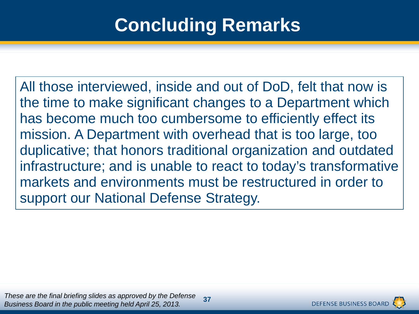# **Concluding Remarks**

All those interviewed, inside and out of DoD, felt that now is the time to make significant changes to a Department which has become much too cumbersome to efficiently effect its mission. A Department with overhead that is too large, too duplicative; that honors traditional organization and outdated infrastructure; and is unable to react to today's transformative markets and environments must be restructured in order to support our National Defense Strategy.

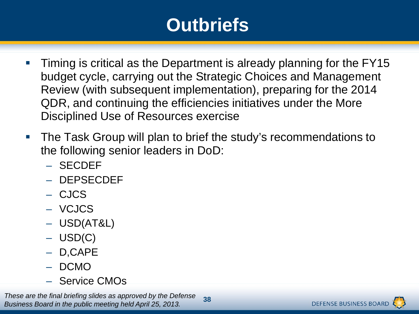# **Outbriefs**

- **Timing is critical as the Department is already planning for the FY15** budget cycle, carrying out the Strategic Choices and Management Review (with subsequent implementation), preparing for the 2014 QDR, and continuing the efficiencies initiatives under the More Disciplined Use of Resources exercise
- **The Task Group will plan to brief the study's recommendations to** the following senior leaders in DoD:
	- SECDEF
	- DEPSECDEF
	- CJCS
	- VCJCS
	- USD(AT&L)
	- USD(C)
	- D,CAPE
	- DCMO
	- Service CMOs

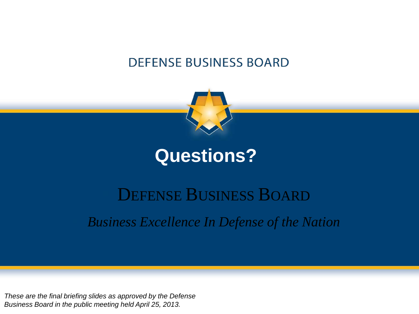#### **DEFENSE BUSINESS BOARD**



### **Questions?**

### DEFENSE BUSINESS BOARD

*Business Excellence In Defense of the Nation*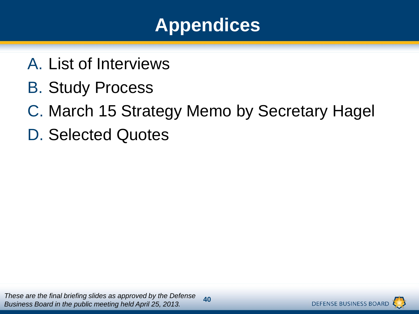

- A. List of Interviews
- B. Study Process
- C. March 15 Strategy Memo by Secretary Hagel
- D. Selected Quotes

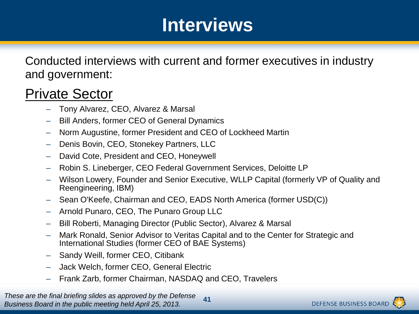Conducted interviews with current and former executives in industry and government:

#### Private Sector

- Tony Alvarez, CEO, Alvarez & Marsal
- Bill Anders, former CEO of General Dynamics
- Norm Augustine, former President and CEO of Lockheed Martin
- Denis Bovin, CEO, Stonekey Partners, LLC
- David Cote, President and CEO, Honeywell
- Robin S. Lineberger, CEO Federal Government Services, Deloitte LP
- Wilson Lowery, Founder and Senior Executive, WLLP Capital (formerly VP of Quality and Reengineering, IBM)
- Sean O'Keefe, Chairman and CEO, EADS North America (former USD(C))
- Arnold Punaro, CEO, The Punaro Group LLC
- Bill Roberti, Managing Director (Public Sector), Alvarez & Marsal
- Mark Ronald, Senior Advisor to Veritas Capital and to the Center for Strategic and International Studies (former CEO of BAE Systems)
- Sandy Weill, former CEO, Citibank
- Jack Welch, former CEO, General Electric
- Frank Zarb, former Chairman, NASDAQ and CEO, Travelers

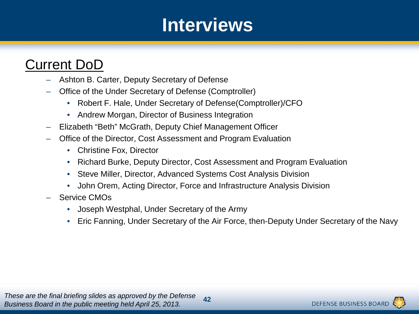#### Current DoD

- Ashton B. Carter, Deputy Secretary of Defense
- Office of the Under Secretary of Defense (Comptroller)
	- Robert F. Hale, Under Secretary of Defense(Comptroller)/CFO
	- Andrew Morgan, Director of Business Integration
- Elizabeth "Beth" McGrath, Deputy Chief Management Officer
- Office of the Director, Cost Assessment and Program Evaluation
	- Christine Fox, Director
	- Richard Burke, Deputy Director, Cost Assessment and Program Evaluation
	- Steve Miller, Director, Advanced Systems Cost Analysis Division
	- John Orem, Acting Director, Force and Infrastructure Analysis Division
- Service CMOs
	- Joseph Westphal, Under Secretary of the Army
	- Eric Fanning, Under Secretary of the Air Force, then-Deputy Under Secretary of the Navy

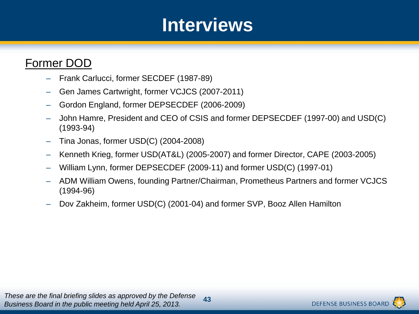#### Former DOD

- Frank Carlucci, former SECDEF (1987-89)
- Gen James Cartwright, former VCJCS (2007-2011)
- Gordon England, former DEPSECDEF (2006-2009)
- John Hamre, President and CEO of CSIS and former DEPSECDEF (1997-00) and USD(C) (1993-94)
- Tina Jonas, former USD(C) (2004-2008)
- Kenneth Krieg, former USD(AT&L) (2005-2007) and former Director, CAPE (2003-2005)
- William Lynn, former DEPSECDEF (2009-11) and former USD(C) (1997-01)
- ADM William Owens, founding Partner/Chairman, Prometheus Partners and former VCJCS (1994-96)
- Dov Zakheim, former USD(C) (2001-04) and former SVP, Booz Allen Hamilton

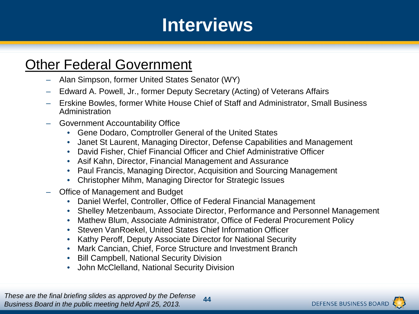#### **Other Federal Government**

- Alan Simpson, former United States Senator (WY)
- Edward A. Powell, Jr., former Deputy Secretary (Acting) of Veterans Affairs
- Erskine Bowles, former White House Chief of Staff and Administrator, Small Business Administration
- Government Accountability Office
	- Gene Dodaro, Comptroller General of the United States
	- Janet St Laurent, Managing Director, Defense Capabilities and Management
	- David Fisher, Chief Financial Officer and Chief Administrative Officer
	- Asif Kahn, Director, Financial Management and Assurance
	- Paul Francis, Managing Director, Acquisition and Sourcing Management
	- Christopher Mihm, Managing Director for Strategic Issues
- Office of Management and Budget
	- Daniel Werfel, Controller, Office of Federal Financial Management
	- Shelley Metzenbaum, Associate Director, Performance and Personnel Management
	- Mathew Blum, Associate Administrator, Office of Federal Procurement Policy
	- Steven VanRoekel, United States Chief Information Officer
	- Kathy Peroff, Deputy Associate Director for National Security
	- Mark Cancian, Chief, Force Structure and Investment Branch
	- **Bill Campbell, National Security Division**
	- John McClelland, National Security Division

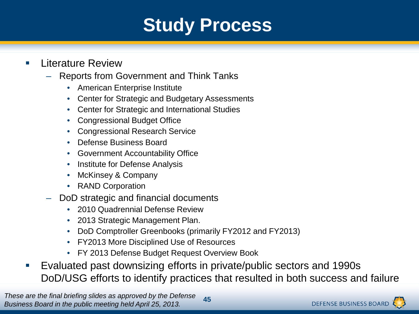# **Study Process**

- **Literature Review** 
	- Reports from Government and Think Tanks
		- American Enterprise Institute
		- Center for Strategic and Budgetary Assessments
		- Center for Strategic and International Studies
		- Congressional Budget Office
		- Congressional Research Service
		- Defense Business Board
		- Government Accountability Office
		- Institute for Defense Analysis
		- McKinsey & Company
		- RAND Corporation
	- DoD strategic and financial documents
		- 2010 Quadrennial Defense Review
		- 2013 Strategic Management Plan.
		- DoD Comptroller Greenbooks (primarily FY2012 and FY2013)
		- FY2013 More Disciplined Use of Resources
		- FY 2013 Defense Budget Request Overview Book
- Evaluated past downsizing efforts in private/public sectors and 1990s DoD/USG efforts to identify practices that resulted in both success and failure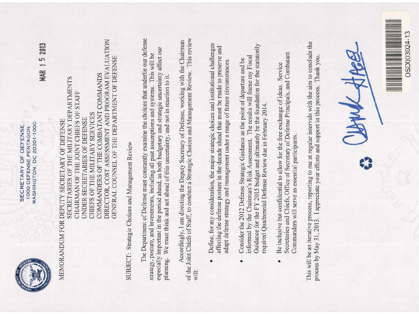WASHINGTON, DC 20301-1000 SECRETARY OF DEFENSE 1000 DEFENSE PENTAGON

**MAR 15 2013** 

# DIRECTOR, COST ASSESSMENT AND PROGRAM EVALUATION GENERAL COUNSEL OF THE DEPARTMENT OF DEFENSE COMMANDERS OF THE COMBATANT COMMANDS SECRETARIES OF THE MILITARY DEPARTMENTS CHAIRMAN OF THE JOINT CHIEFS OF STAFF CHIEFS OF THE MILITARY SERVICES UNDER SECRETARIES OF DEFENSE MEMORANDUM FOR DEPUTY SECRETARY OF DEFENSE

SUBJECT: Strategic Choices and Management Review

The Department of Defense must constantly examine the choices that underlie our defense especially important in the period ahead, as both budgetary and strategic uncertainty affect our strategy, posture, and investments, including all past assumptions and systems. This will be planning. We must think and act ahead of this uncertainty, and not in reaction to it.

of the Joint Chiefs of Staff, to conduct a Strategic Choices and Management Review. This review Accordingly, I am directing the Deputy Secretary of Defense, working with the Chairman will:

- Define, for my consideration, the major strategic choices and institutional challenges affecting the defense posture in the decade ahead that must be made to preserve and adapt defense strategy and management under a range of future circumstances.  $\bullet$
- Guidance for the FY 2015 budget and ultimately be the foundation for the statutorily informed by the Chairman's Risk Assessment. The results will frame my Fiscal Consider the 2012 Defense Strategic Guidance as the point of departure and be required Quadrennial Defense Review due in February 2014.  $\bullet$
- Secretaries and Chiefs, Office of Secretary of Defense Principals, and Combatant Be inclusive but confidential to allow for the free exchange of ideas. Service Commanders will serve as essential participants.  $\bullet$

This will be an iterative process, reporting to me at regular intervals with the aim to conclude the process by May 31, 2013. I appreciate your efforts and support in this process. Thank you.

JANN AA